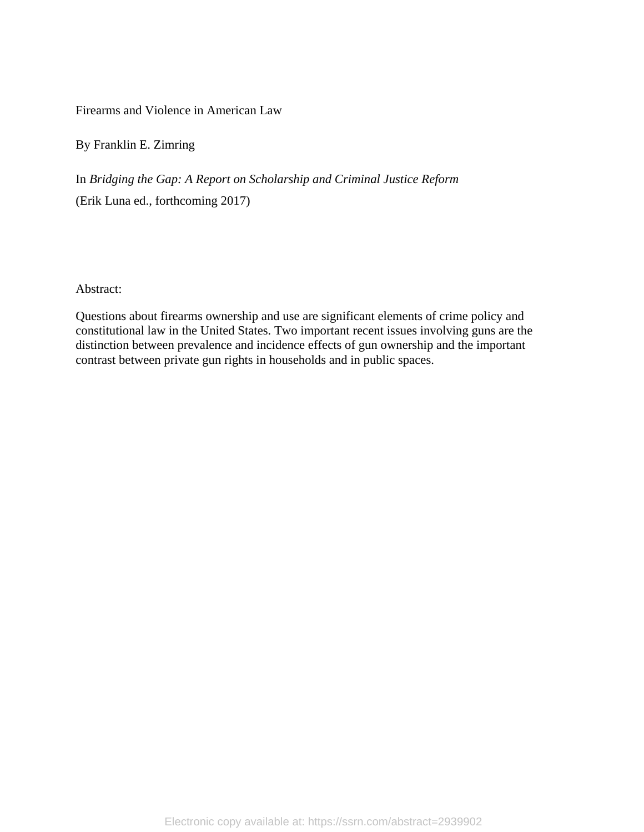Firearms and Violence in American Law

By Franklin E. Zimring

In *Bridging the Gap: A Report on Scholarship and Criminal Justice Reform* (Erik Luna ed., forthcoming 2017)

Abstract:

Questions about firearms ownership and use are significant elements of crime policy and constitutional law in the United States. Two important recent issues involving guns are the distinction between prevalence and incidence effects of gun ownership and the important contrast between private gun rights in households and in public spaces.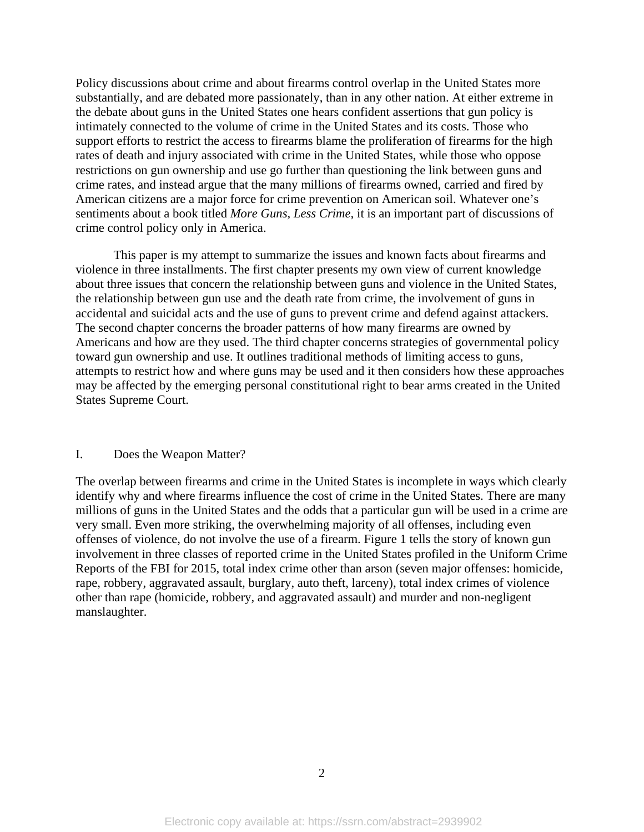Policy discussions about crime and about firearms control overlap in the United States more substantially, and are debated more passionately, than in any other nation. At either extreme in the debate about guns in the United States one hears confident assertions that gun policy is intimately connected to the volume of crime in the United States and its costs. Those who support efforts to restrict the access to firearms blame the proliferation of firearms for the high rates of death and injury associated with crime in the United States, while those who oppose restrictions on gun ownership and use go further than questioning the link between guns and crime rates, and instead argue that the many millions of firearms owned, carried and fired by American citizens are a major force for crime prevention on American soil. Whatever one's sentiments about a book titled *More Guns, Less Crime,* it is an important part of discussions of crime control policy only in America.

 This paper is my attempt to summarize the issues and known facts about firearms and violence in three installments. The first chapter presents my own view of current knowledge about three issues that concern the relationship between guns and violence in the United States, the relationship between gun use and the death rate from crime, the involvement of guns in accidental and suicidal acts and the use of guns to prevent crime and defend against attackers. The second chapter concerns the broader patterns of how many firearms are owned by Americans and how are they used. The third chapter concerns strategies of governmental policy toward gun ownership and use. It outlines traditional methods of limiting access to guns, attempts to restrict how and where guns may be used and it then considers how these approaches may be affected by the emerging personal constitutional right to bear arms created in the United States Supreme Court.

#### I. Does the Weapon Matter?

The overlap between firearms and crime in the United States is incomplete in ways which clearly identify why and where firearms influence the cost of crime in the United States. There are many millions of guns in the United States and the odds that a particular gun will be used in a crime are very small. Even more striking, the overwhelming majority of all offenses, including even offenses of violence, do not involve the use of a firearm. Figure 1 tells the story of known gun involvement in three classes of reported crime in the United States profiled in the Uniform Crime Reports of the FBI for 2015, total index crime other than arson (seven major offenses: homicide, rape, robbery, aggravated assault, burglary, auto theft, larceny), total index crimes of violence other than rape (homicide, robbery, and aggravated assault) and murder and non-negligent manslaughter.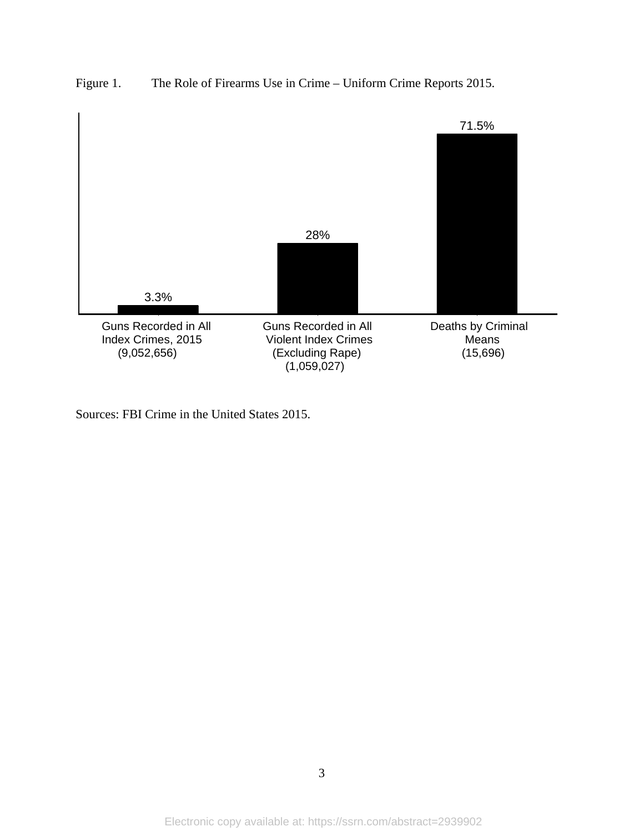



Sources: FBI Crime in the United States 2015.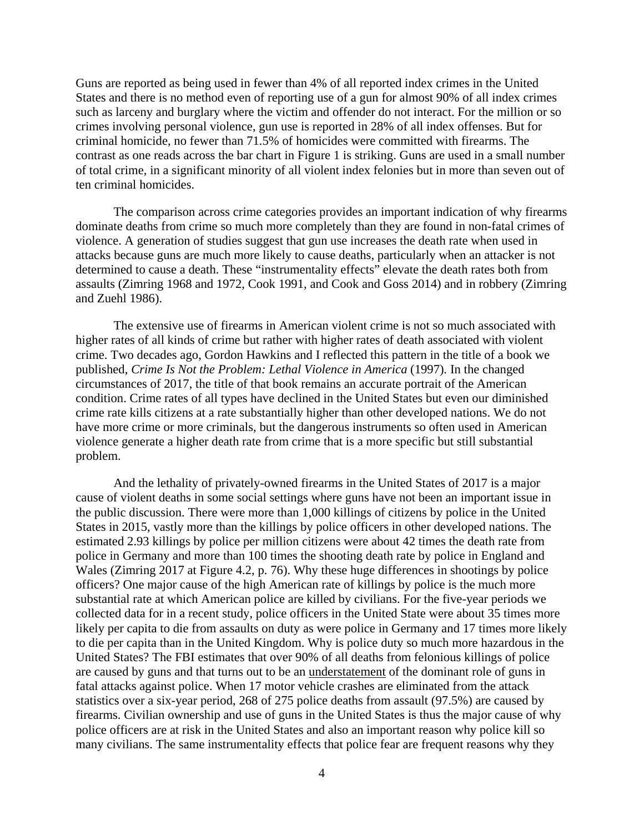Guns are reported as being used in fewer than 4% of all reported index crimes in the United States and there is no method even of reporting use of a gun for almost 90% of all index crimes such as larceny and burglary where the victim and offender do not interact. For the million or so crimes involving personal violence, gun use is reported in 28% of all index offenses. But for criminal homicide, no fewer than 71.5% of homicides were committed with firearms. The contrast as one reads across the bar chart in Figure 1 is striking. Guns are used in a small number of total crime, in a significant minority of all violent index felonies but in more than seven out of ten criminal homicides.

 The comparison across crime categories provides an important indication of why firearms dominate deaths from crime so much more completely than they are found in non-fatal crimes of violence. A generation of studies suggest that gun use increases the death rate when used in attacks because guns are much more likely to cause deaths, particularly when an attacker is not determined to cause a death. These "instrumentality effects" elevate the death rates both from assaults (Zimring 1968 and 1972, Cook 1991, and Cook and Goss 2014) and in robbery (Zimring and Zuehl 1986).

 The extensive use of firearms in American violent crime is not so much associated with higher rates of all kinds of crime but rather with higher rates of death associated with violent crime. Two decades ago, Gordon Hawkins and I reflected this pattern in the title of a book we published, *Crime Is Not the Problem: Lethal Violence in America* (1997). In the changed circumstances of 2017, the title of that book remains an accurate portrait of the American condition. Crime rates of all types have declined in the United States but even our diminished crime rate kills citizens at a rate substantially higher than other developed nations. We do not have more crime or more criminals, but the dangerous instruments so often used in American violence generate a higher death rate from crime that is a more specific but still substantial problem.

 And the lethality of privately-owned firearms in the United States of 2017 is a major cause of violent deaths in some social settings where guns have not been an important issue in the public discussion. There were more than 1,000 killings of citizens by police in the United States in 2015, vastly more than the killings by police officers in other developed nations. The estimated 2.93 killings by police per million citizens were about 42 times the death rate from police in Germany and more than 100 times the shooting death rate by police in England and Wales (Zimring 2017 at Figure 4.2, p. 76). Why these huge differences in shootings by police officers? One major cause of the high American rate of killings by police is the much more substantial rate at which American police are killed by civilians. For the five-year periods we collected data for in a recent study, police officers in the United State were about 35 times more likely per capita to die from assaults on duty as were police in Germany and 17 times more likely to die per capita than in the United Kingdom. Why is police duty so much more hazardous in the United States? The FBI estimates that over 90% of all deaths from felonious killings of police are caused by guns and that turns out to be an understatement of the dominant role of guns in fatal attacks against police. When 17 motor vehicle crashes are eliminated from the attack statistics over a six-year period, 268 of 275 police deaths from assault (97.5%) are caused by firearms. Civilian ownership and use of guns in the United States is thus the major cause of why police officers are at risk in the United States and also an important reason why police kill so many civilians. The same instrumentality effects that police fear are frequent reasons why they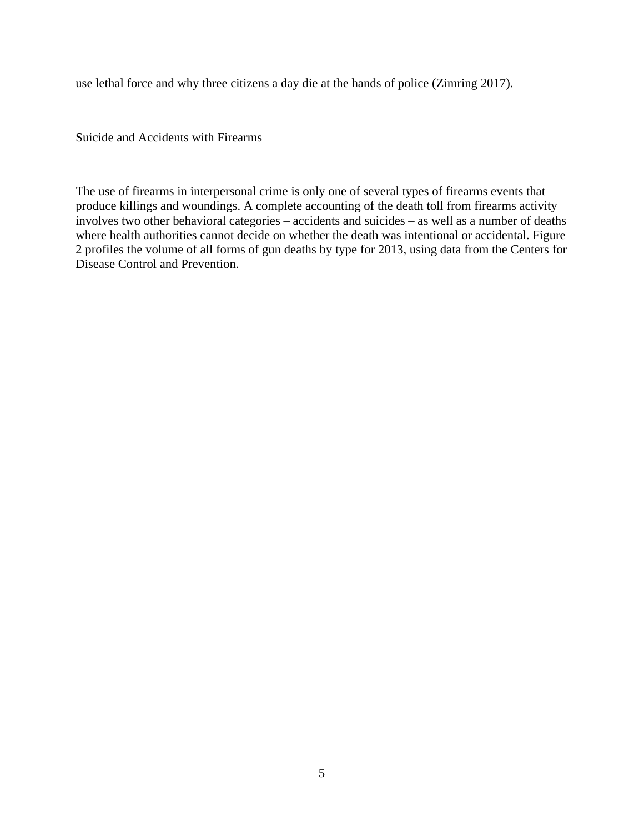use lethal force and why three citizens a day die at the hands of police (Zimring 2017).

Suicide and Accidents with Firearms

The use of firearms in interpersonal crime is only one of several types of firearms events that produce killings and woundings. A complete accounting of the death toll from firearms activity involves two other behavioral categories – accidents and suicides – as well as a number of deaths where health authorities cannot decide on whether the death was intentional or accidental. Figure 2 profiles the volume of all forms of gun deaths by type for 2013, using data from the Centers for Disease Control and Prevention.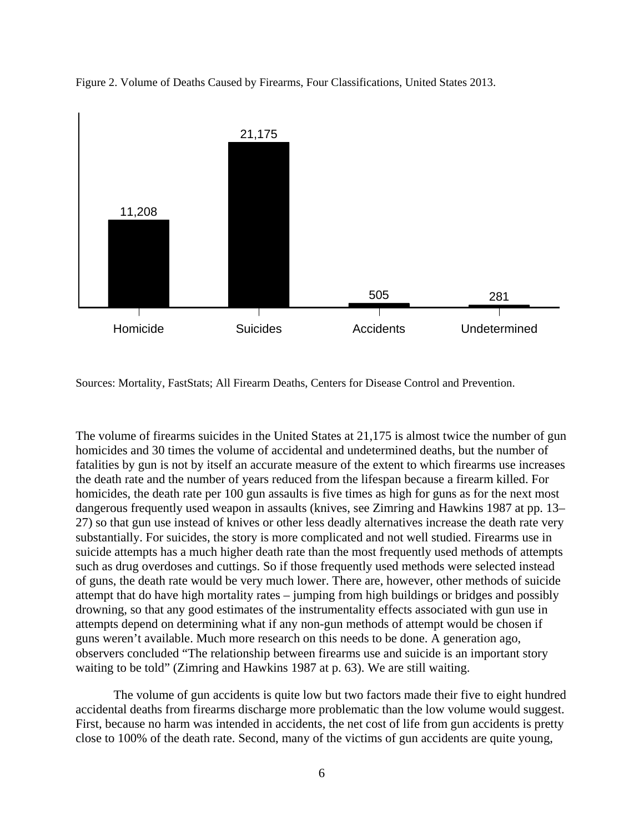

Figure 2. Volume of Deaths Caused by Firearms, Four Classifications, United States 2013.

Sources: Mortality, FastStats; All Firearm Deaths, Centers for Disease Control and Prevention.

The volume of firearms suicides in the United States at 21,175 is almost twice the number of gun homicides and 30 times the volume of accidental and undetermined deaths, but the number of fatalities by gun is not by itself an accurate measure of the extent to which firearms use increases the death rate and the number of years reduced from the lifespan because a firearm killed. For homicides, the death rate per 100 gun assaults is five times as high for guns as for the next most dangerous frequently used weapon in assaults (knives, see Zimring and Hawkins 1987 at pp. 13– 27) so that gun use instead of knives or other less deadly alternatives increase the death rate very substantially. For suicides, the story is more complicated and not well studied. Firearms use in suicide attempts has a much higher death rate than the most frequently used methods of attempts such as drug overdoses and cuttings. So if those frequently used methods were selected instead of guns, the death rate would be very much lower. There are, however, other methods of suicide attempt that do have high mortality rates – jumping from high buildings or bridges and possibly drowning, so that any good estimates of the instrumentality effects associated with gun use in attempts depend on determining what if any non-gun methods of attempt would be chosen if guns weren't available. Much more research on this needs to be done. A generation ago, observers concluded "The relationship between firearms use and suicide is an important story waiting to be told" (Zimring and Hawkins 1987 at p. 63). We are still waiting.

The volume of gun accidents is quite low but two factors made their five to eight hundred accidental deaths from firearms discharge more problematic than the low volume would suggest. First, because no harm was intended in accidents, the net cost of life from gun accidents is pretty close to 100% of the death rate. Second, many of the victims of gun accidents are quite young,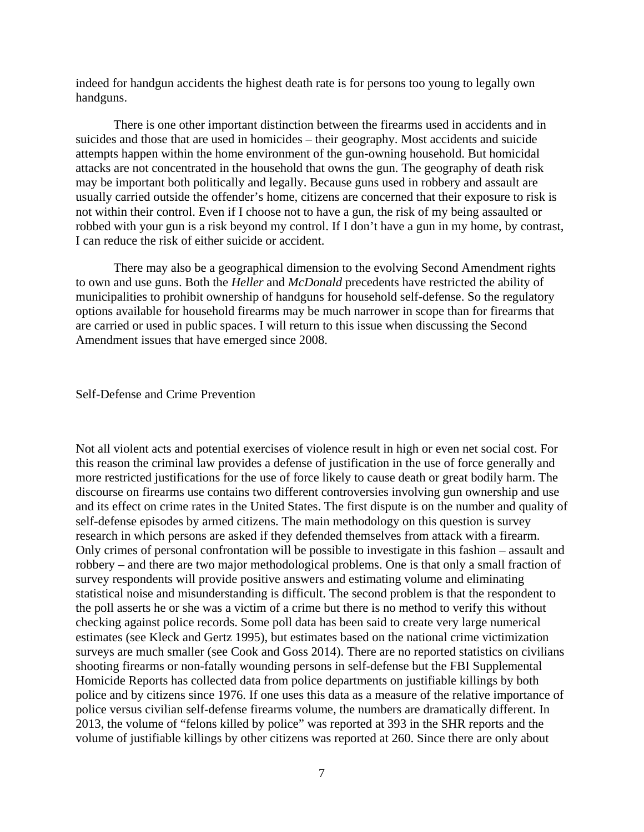indeed for handgun accidents the highest death rate is for persons too young to legally own handguns.

 There is one other important distinction between the firearms used in accidents and in suicides and those that are used in homicides – their geography. Most accidents and suicide attempts happen within the home environment of the gun-owning household. But homicidal attacks are not concentrated in the household that owns the gun. The geography of death risk may be important both politically and legally. Because guns used in robbery and assault are usually carried outside the offender's home, citizens are concerned that their exposure to risk is not within their control. Even if I choose not to have a gun, the risk of my being assaulted or robbed with your gun is a risk beyond my control. If I don't have a gun in my home, by contrast, I can reduce the risk of either suicide or accident.

 There may also be a geographical dimension to the evolving Second Amendment rights to own and use guns. Both the *Heller* and *McDonald* precedents have restricted the ability of municipalities to prohibit ownership of handguns for household self-defense. So the regulatory options available for household firearms may be much narrower in scope than for firearms that are carried or used in public spaces. I will return to this issue when discussing the Second Amendment issues that have emerged since 2008.

## Self-Defense and Crime Prevention

Not all violent acts and potential exercises of violence result in high or even net social cost. For this reason the criminal law provides a defense of justification in the use of force generally and more restricted justifications for the use of force likely to cause death or great bodily harm. The discourse on firearms use contains two different controversies involving gun ownership and use and its effect on crime rates in the United States. The first dispute is on the number and quality of self-defense episodes by armed citizens. The main methodology on this question is survey research in which persons are asked if they defended themselves from attack with a firearm. Only crimes of personal confrontation will be possible to investigate in this fashion – assault and robbery – and there are two major methodological problems. One is that only a small fraction of survey respondents will provide positive answers and estimating volume and eliminating statistical noise and misunderstanding is difficult. The second problem is that the respondent to the poll asserts he or she was a victim of a crime but there is no method to verify this without checking against police records. Some poll data has been said to create very large numerical estimates (see Kleck and Gertz 1995), but estimates based on the national crime victimization surveys are much smaller (see Cook and Goss 2014). There are no reported statistics on civilians shooting firearms or non-fatally wounding persons in self-defense but the FBI Supplemental Homicide Reports has collected data from police departments on justifiable killings by both police and by citizens since 1976. If one uses this data as a measure of the relative importance of police versus civilian self-defense firearms volume, the numbers are dramatically different. In 2013, the volume of "felons killed by police" was reported at 393 in the SHR reports and the volume of justifiable killings by other citizens was reported at 260. Since there are only about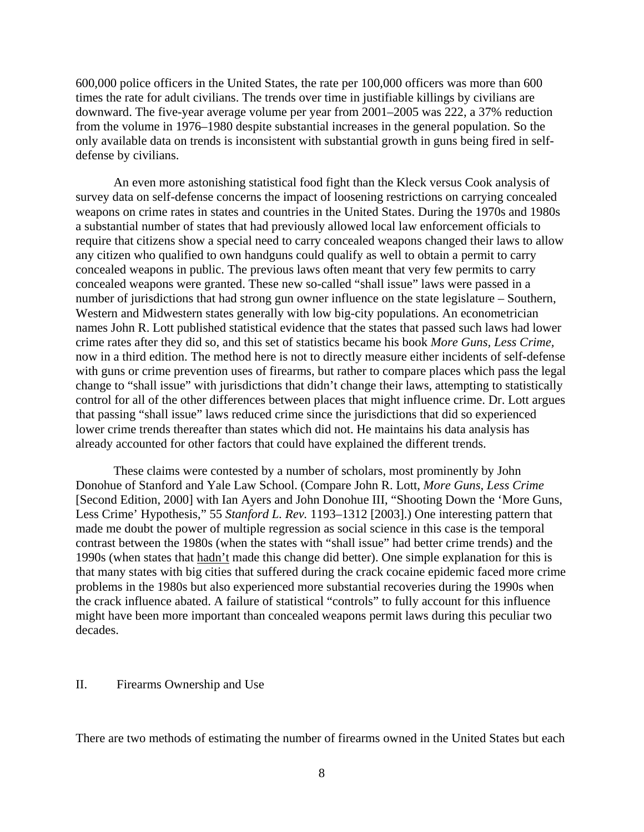600,000 police officers in the United States, the rate per 100,000 officers was more than 600 times the rate for adult civilians. The trends over time in justifiable killings by civilians are downward. The five-year average volume per year from 2001–2005 was 222, a 37% reduction from the volume in 1976–1980 despite substantial increases in the general population. So the only available data on trends is inconsistent with substantial growth in guns being fired in selfdefense by civilians.

 An even more astonishing statistical food fight than the Kleck versus Cook analysis of survey data on self-defense concerns the impact of loosening restrictions on carrying concealed weapons on crime rates in states and countries in the United States. During the 1970s and 1980s a substantial number of states that had previously allowed local law enforcement officials to require that citizens show a special need to carry concealed weapons changed their laws to allow any citizen who qualified to own handguns could qualify as well to obtain a permit to carry concealed weapons in public. The previous laws often meant that very few permits to carry concealed weapons were granted. These new so-called "shall issue" laws were passed in a number of jurisdictions that had strong gun owner influence on the state legislature – Southern, Western and Midwestern states generally with low big-city populations. An econometrician names John R. Lott published statistical evidence that the states that passed such laws had lower crime rates after they did so, and this set of statistics became his book *More Guns, Less Crime,*  now in a third edition. The method here is not to directly measure either incidents of self-defense with guns or crime prevention uses of firearms, but rather to compare places which pass the legal change to "shall issue" with jurisdictions that didn't change their laws, attempting to statistically control for all of the other differences between places that might influence crime. Dr. Lott argues that passing "shall issue" laws reduced crime since the jurisdictions that did so experienced lower crime trends thereafter than states which did not. He maintains his data analysis has already accounted for other factors that could have explained the different trends.

These claims were contested by a number of scholars, most prominently by John Donohue of Stanford and Yale Law School. (Compare John R. Lott, *More Guns, Less Crime*  [Second Edition, 2000] with Ian Ayers and John Donohue III, "Shooting Down the 'More Guns, Less Crime' Hypothesis," 55 *Stanford L. Rev.* 1193–1312 [2003].) One interesting pattern that made me doubt the power of multiple regression as social science in this case is the temporal contrast between the 1980s (when the states with "shall issue" had better crime trends) and the 1990s (when states that hadn't made this change did better). One simple explanation for this is that many states with big cities that suffered during the crack cocaine epidemic faced more crime problems in the 1980s but also experienced more substantial recoveries during the 1990s when the crack influence abated. A failure of statistical "controls" to fully account for this influence might have been more important than concealed weapons permit laws during this peculiar two decades.

#### II. Firearms Ownership and Use

There are two methods of estimating the number of firearms owned in the United States but each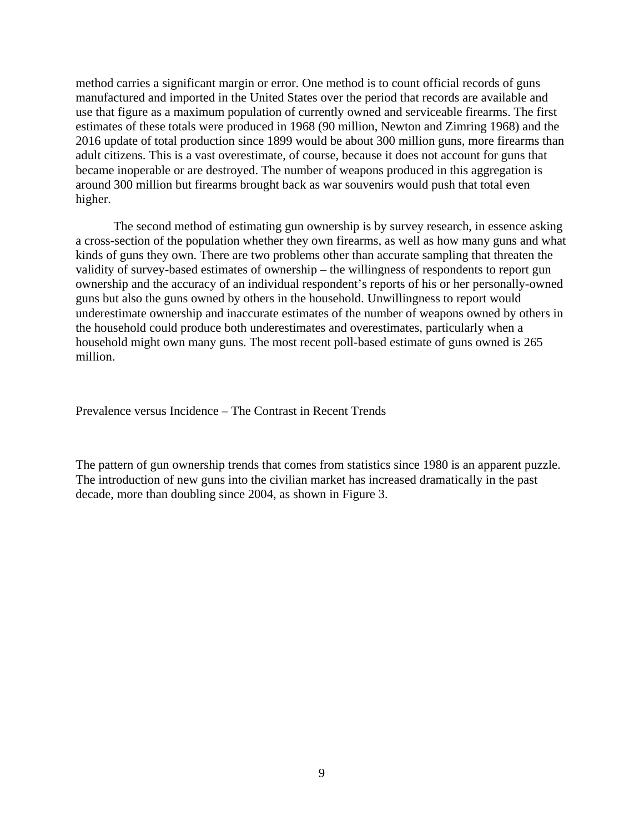method carries a significant margin or error. One method is to count official records of guns manufactured and imported in the United States over the period that records are available and use that figure as a maximum population of currently owned and serviceable firearms. The first estimates of these totals were produced in 1968 (90 million, Newton and Zimring 1968) and the 2016 update of total production since 1899 would be about 300 million guns, more firearms than adult citizens. This is a vast overestimate, of course, because it does not account for guns that became inoperable or are destroyed. The number of weapons produced in this aggregation is around 300 million but firearms brought back as war souvenirs would push that total even higher.

 The second method of estimating gun ownership is by survey research, in essence asking a cross-section of the population whether they own firearms, as well as how many guns and what kinds of guns they own. There are two problems other than accurate sampling that threaten the validity of survey-based estimates of ownership – the willingness of respondents to report gun ownership and the accuracy of an individual respondent's reports of his or her personally-owned guns but also the guns owned by others in the household. Unwillingness to report would underestimate ownership and inaccurate estimates of the number of weapons owned by others in the household could produce both underestimates and overestimates, particularly when a household might own many guns. The most recent poll-based estimate of guns owned is 265 million.

Prevalence versus Incidence – The Contrast in Recent Trends

The pattern of gun ownership trends that comes from statistics since 1980 is an apparent puzzle. The introduction of new guns into the civilian market has increased dramatically in the past decade, more than doubling since 2004, as shown in Figure 3.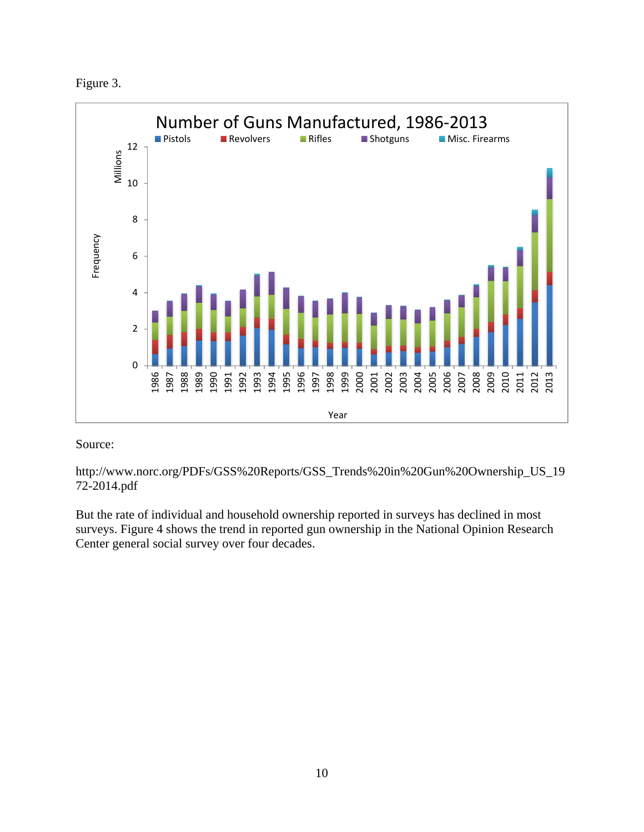



# Source:

http://www.norc.org/PDFs/GSS%20Reports/GSS\_Trends%20in%20Gun%20Ownership\_US\_19 72-2014.pdf

But the rate of individual and household ownership reported in surveys has declined in most surveys. Figure 4 shows the trend in reported gun ownership in the National Opinion Research Center general social survey over four decades.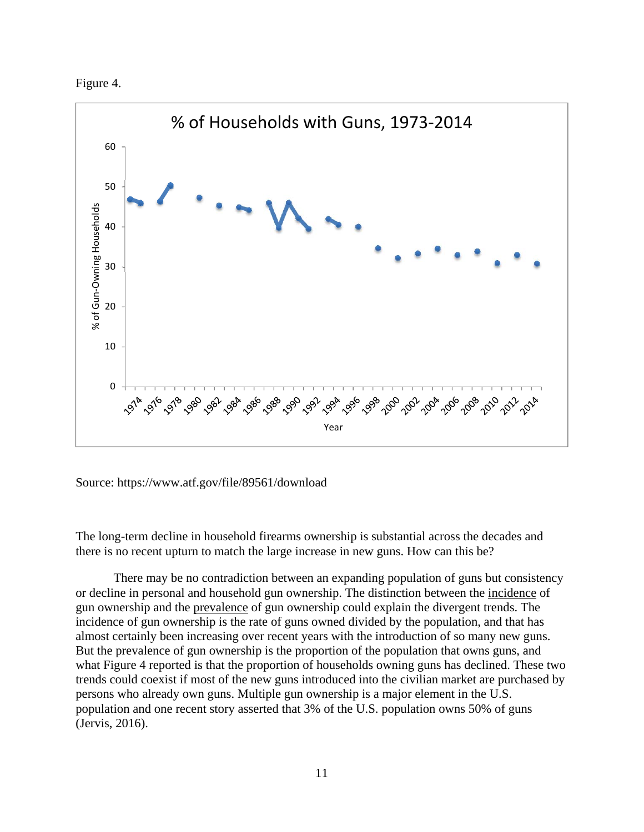



Source: https://www.atf.gov/file/89561/download

The long-term decline in household firearms ownership is substantial across the decades and there is no recent upturn to match the large increase in new guns. How can this be?

 There may be no contradiction between an expanding population of guns but consistency or decline in personal and household gun ownership. The distinction between the incidence of gun ownership and the prevalence of gun ownership could explain the divergent trends. The incidence of gun ownership is the rate of guns owned divided by the population, and that has almost certainly been increasing over recent years with the introduction of so many new guns. But the prevalence of gun ownership is the proportion of the population that owns guns, and what Figure 4 reported is that the proportion of households owning guns has declined. These two trends could coexist if most of the new guns introduced into the civilian market are purchased by persons who already own guns. Multiple gun ownership is a major element in the U.S. population and one recent story asserted that 3% of the U.S. population owns 50% of guns (Jervis, 2016).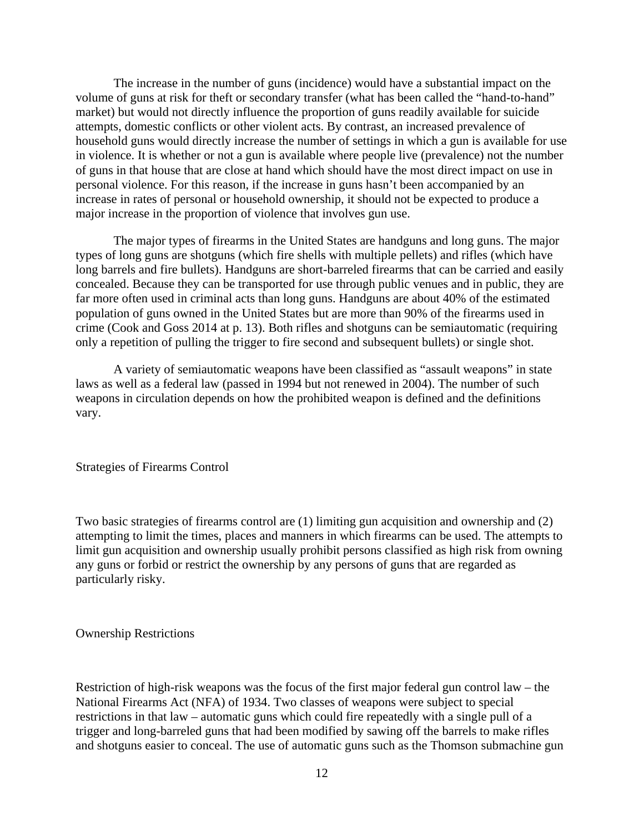The increase in the number of guns (incidence) would have a substantial impact on the volume of guns at risk for theft or secondary transfer (what has been called the "hand-to-hand" market) but would not directly influence the proportion of guns readily available for suicide attempts, domestic conflicts or other violent acts. By contrast, an increased prevalence of household guns would directly increase the number of settings in which a gun is available for use in violence. It is whether or not a gun is available where people live (prevalence) not the number of guns in that house that are close at hand which should have the most direct impact on use in personal violence. For this reason, if the increase in guns hasn't been accompanied by an increase in rates of personal or household ownership, it should not be expected to produce a major increase in the proportion of violence that involves gun use.

 The major types of firearms in the United States are handguns and long guns. The major types of long guns are shotguns (which fire shells with multiple pellets) and rifles (which have long barrels and fire bullets). Handguns are short-barreled firearms that can be carried and easily concealed. Because they can be transported for use through public venues and in public, they are far more often used in criminal acts than long guns. Handguns are about 40% of the estimated population of guns owned in the United States but are more than 90% of the firearms used in crime (Cook and Goss 2014 at p. 13). Both rifles and shotguns can be semiautomatic (requiring only a repetition of pulling the trigger to fire second and subsequent bullets) or single shot.

 A variety of semiautomatic weapons have been classified as "assault weapons" in state laws as well as a federal law (passed in 1994 but not renewed in 2004). The number of such weapons in circulation depends on how the prohibited weapon is defined and the definitions vary.

## Strategies of Firearms Control

Two basic strategies of firearms control are (1) limiting gun acquisition and ownership and (2) attempting to limit the times, places and manners in which firearms can be used. The attempts to limit gun acquisition and ownership usually prohibit persons classified as high risk from owning any guns or forbid or restrict the ownership by any persons of guns that are regarded as particularly risky.

#### Ownership Restrictions

Restriction of high-risk weapons was the focus of the first major federal gun control law – the National Firearms Act (NFA) of 1934. Two classes of weapons were subject to special restrictions in that law – automatic guns which could fire repeatedly with a single pull of a trigger and long-barreled guns that had been modified by sawing off the barrels to make rifles and shotguns easier to conceal. The use of automatic guns such as the Thomson submachine gun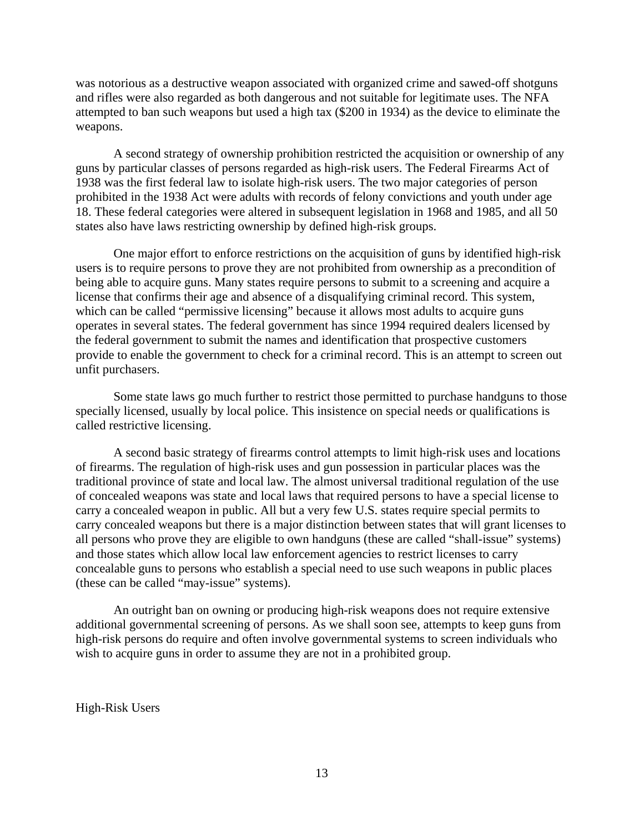was notorious as a destructive weapon associated with organized crime and sawed-off shotguns and rifles were also regarded as both dangerous and not suitable for legitimate uses. The NFA attempted to ban such weapons but used a high tax (\$200 in 1934) as the device to eliminate the weapons.

 A second strategy of ownership prohibition restricted the acquisition or ownership of any guns by particular classes of persons regarded as high-risk users. The Federal Firearms Act of 1938 was the first federal law to isolate high-risk users. The two major categories of person prohibited in the 1938 Act were adults with records of felony convictions and youth under age 18. These federal categories were altered in subsequent legislation in 1968 and 1985, and all 50 states also have laws restricting ownership by defined high-risk groups.

One major effort to enforce restrictions on the acquisition of guns by identified high-risk users is to require persons to prove they are not prohibited from ownership as a precondition of being able to acquire guns. Many states require persons to submit to a screening and acquire a license that confirms their age and absence of a disqualifying criminal record. This system, which can be called "permissive licensing" because it allows most adults to acquire guns operates in several states. The federal government has since 1994 required dealers licensed by the federal government to submit the names and identification that prospective customers provide to enable the government to check for a criminal record. This is an attempt to screen out unfit purchasers.

 Some state laws go much further to restrict those permitted to purchase handguns to those specially licensed, usually by local police. This insistence on special needs or qualifications is called restrictive licensing.

 A second basic strategy of firearms control attempts to limit high-risk uses and locations of firearms. The regulation of high-risk uses and gun possession in particular places was the traditional province of state and local law. The almost universal traditional regulation of the use of concealed weapons was state and local laws that required persons to have a special license to carry a concealed weapon in public. All but a very few U.S. states require special permits to carry concealed weapons but there is a major distinction between states that will grant licenses to all persons who prove they are eligible to own handguns (these are called "shall-issue" systems) and those states which allow local law enforcement agencies to restrict licenses to carry concealable guns to persons who establish a special need to use such weapons in public places (these can be called "may-issue" systems).

 An outright ban on owning or producing high-risk weapons does not require extensive additional governmental screening of persons. As we shall soon see, attempts to keep guns from high-risk persons do require and often involve governmental systems to screen individuals who wish to acquire guns in order to assume they are not in a prohibited group.

High-Risk Users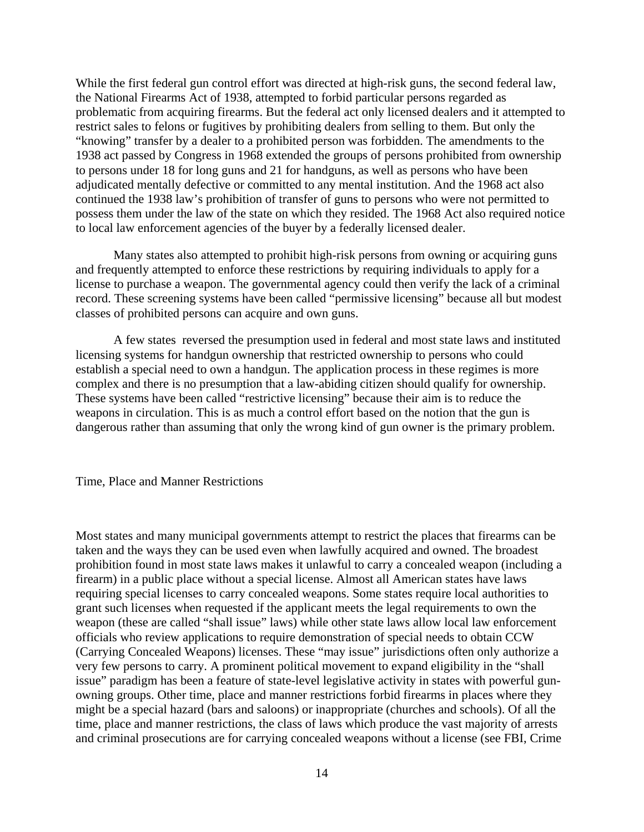While the first federal gun control effort was directed at high-risk guns, the second federal law, the National Firearms Act of 1938, attempted to forbid particular persons regarded as problematic from acquiring firearms. But the federal act only licensed dealers and it attempted to restrict sales to felons or fugitives by prohibiting dealers from selling to them. But only the "knowing" transfer by a dealer to a prohibited person was forbidden. The amendments to the 1938 act passed by Congress in 1968 extended the groups of persons prohibited from ownership to persons under 18 for long guns and 21 for handguns, as well as persons who have been adjudicated mentally defective or committed to any mental institution. And the 1968 act also continued the 1938 law's prohibition of transfer of guns to persons who were not permitted to possess them under the law of the state on which they resided. The 1968 Act also required notice to local law enforcement agencies of the buyer by a federally licensed dealer.

 Many states also attempted to prohibit high-risk persons from owning or acquiring guns and frequently attempted to enforce these restrictions by requiring individuals to apply for a license to purchase a weapon. The governmental agency could then verify the lack of a criminal record. These screening systems have been called "permissive licensing" because all but modest classes of prohibited persons can acquire and own guns.

 A few states reversed the presumption used in federal and most state laws and instituted licensing systems for handgun ownership that restricted ownership to persons who could establish a special need to own a handgun. The application process in these regimes is more complex and there is no presumption that a law-abiding citizen should qualify for ownership. These systems have been called "restrictive licensing" because their aim is to reduce the weapons in circulation. This is as much a control effort based on the notion that the gun is dangerous rather than assuming that only the wrong kind of gun owner is the primary problem.

Time, Place and Manner Restrictions

Most states and many municipal governments attempt to restrict the places that firearms can be taken and the ways they can be used even when lawfully acquired and owned. The broadest prohibition found in most state laws makes it unlawful to carry a concealed weapon (including a firearm) in a public place without a special license. Almost all American states have laws requiring special licenses to carry concealed weapons. Some states require local authorities to grant such licenses when requested if the applicant meets the legal requirements to own the weapon (these are called "shall issue" laws) while other state laws allow local law enforcement officials who review applications to require demonstration of special needs to obtain CCW (Carrying Concealed Weapons) licenses. These "may issue" jurisdictions often only authorize a very few persons to carry. A prominent political movement to expand eligibility in the "shall issue" paradigm has been a feature of state-level legislative activity in states with powerful gunowning groups. Other time, place and manner restrictions forbid firearms in places where they might be a special hazard (bars and saloons) or inappropriate (churches and schools). Of all the time, place and manner restrictions, the class of laws which produce the vast majority of arrests and criminal prosecutions are for carrying concealed weapons without a license (see FBI, Crime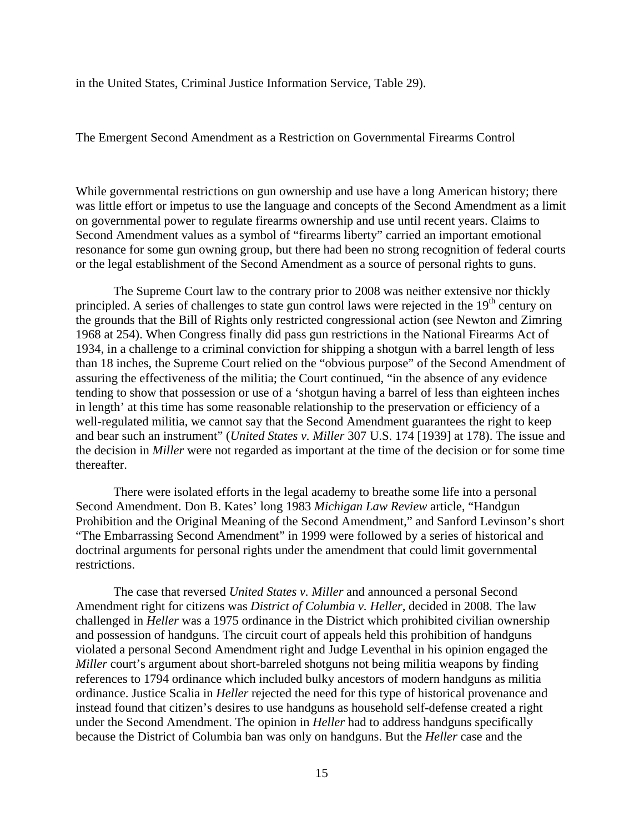in the United States, Criminal Justice Information Service, Table 29).

The Emergent Second Amendment as a Restriction on Governmental Firearms Control

While governmental restrictions on gun ownership and use have a long American history; there was little effort or impetus to use the language and concepts of the Second Amendment as a limit on governmental power to regulate firearms ownership and use until recent years. Claims to Second Amendment values as a symbol of "firearms liberty" carried an important emotional resonance for some gun owning group, but there had been no strong recognition of federal courts or the legal establishment of the Second Amendment as a source of personal rights to guns.

 The Supreme Court law to the contrary prior to 2008 was neither extensive nor thickly principled. A series of challenges to state gun control laws were rejected in the 19<sup>th</sup> century on the grounds that the Bill of Rights only restricted congressional action (see Newton and Zimring 1968 at 254). When Congress finally did pass gun restrictions in the National Firearms Act of 1934, in a challenge to a criminal conviction for shipping a shotgun with a barrel length of less than 18 inches, the Supreme Court relied on the "obvious purpose" of the Second Amendment of assuring the effectiveness of the militia; the Court continued, "in the absence of any evidence tending to show that possession or use of a 'shotgun having a barrel of less than eighteen inches in length' at this time has some reasonable relationship to the preservation or efficiency of a well-regulated militia, we cannot say that the Second Amendment guarantees the right to keep and bear such an instrument" (*United States v. Miller* 307 U.S. 174 [1939] at 178). The issue and the decision in *Miller* were not regarded as important at the time of the decision or for some time thereafter.

 There were isolated efforts in the legal academy to breathe some life into a personal Second Amendment. Don B. Kates' long 1983 *Michigan Law Review* article, "Handgun Prohibition and the Original Meaning of the Second Amendment," and Sanford Levinson's short "The Embarrassing Second Amendment" in 1999 were followed by a series of historical and doctrinal arguments for personal rights under the amendment that could limit governmental restrictions.

 The case that reversed *United States v. Miller* and announced a personal Second Amendment right for citizens was *District of Columbia v. Heller,* decided in 2008. The law challenged in *Heller* was a 1975 ordinance in the District which prohibited civilian ownership and possession of handguns. The circuit court of appeals held this prohibition of handguns violated a personal Second Amendment right and Judge Leventhal in his opinion engaged the *Miller* court's argument about short-barreled shotguns not being militia weapons by finding references to 1794 ordinance which included bulky ancestors of modern handguns as militia ordinance. Justice Scalia in *Heller* rejected the need for this type of historical provenance and instead found that citizen's desires to use handguns as household self-defense created a right under the Second Amendment. The opinion in *Heller* had to address handguns specifically because the District of Columbia ban was only on handguns. But the *Heller* case and the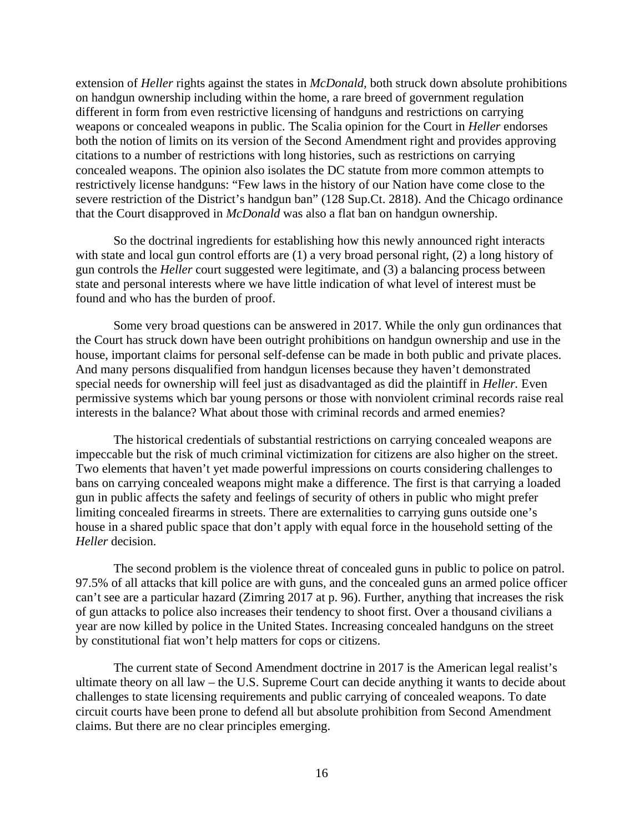extension of *Heller* rights against the states in *McDonald,* both struck down absolute prohibitions on handgun ownership including within the home, a rare breed of government regulation different in form from even restrictive licensing of handguns and restrictions on carrying weapons or concealed weapons in public. The Scalia opinion for the Court in *Heller* endorses both the notion of limits on its version of the Second Amendment right and provides approving citations to a number of restrictions with long histories, such as restrictions on carrying concealed weapons. The opinion also isolates the DC statute from more common attempts to restrictively license handguns: "Few laws in the history of our Nation have come close to the severe restriction of the District's handgun ban" (128 Sup.Ct. 2818). And the Chicago ordinance that the Court disapproved in *McDonald* was also a flat ban on handgun ownership.

 So the doctrinal ingredients for establishing how this newly announced right interacts with state and local gun control efforts are  $(1)$  a very broad personal right,  $(2)$  a long history of gun controls the *Heller* court suggested were legitimate, and (3) a balancing process between state and personal interests where we have little indication of what level of interest must be found and who has the burden of proof.

 Some very broad questions can be answered in 2017. While the only gun ordinances that the Court has struck down have been outright prohibitions on handgun ownership and use in the house, important claims for personal self-defense can be made in both public and private places. And many persons disqualified from handgun licenses because they haven't demonstrated special needs for ownership will feel just as disadvantaged as did the plaintiff in *Heller.* Even permissive systems which bar young persons or those with nonviolent criminal records raise real interests in the balance? What about those with criminal records and armed enemies?

 The historical credentials of substantial restrictions on carrying concealed weapons are impeccable but the risk of much criminal victimization for citizens are also higher on the street. Two elements that haven't yet made powerful impressions on courts considering challenges to bans on carrying concealed weapons might make a difference. The first is that carrying a loaded gun in public affects the safety and feelings of security of others in public who might prefer limiting concealed firearms in streets. There are externalities to carrying guns outside one's house in a shared public space that don't apply with equal force in the household setting of the *Heller* decision.

 The second problem is the violence threat of concealed guns in public to police on patrol. 97.5% of all attacks that kill police are with guns, and the concealed guns an armed police officer can't see are a particular hazard (Zimring 2017 at p. 96). Further, anything that increases the risk of gun attacks to police also increases their tendency to shoot first. Over a thousand civilians a year are now killed by police in the United States. Increasing concealed handguns on the street by constitutional fiat won't help matters for cops or citizens.

 The current state of Second Amendment doctrine in 2017 is the American legal realist's ultimate theory on all law – the U.S. Supreme Court can decide anything it wants to decide about challenges to state licensing requirements and public carrying of concealed weapons. To date circuit courts have been prone to defend all but absolute prohibition from Second Amendment claims. But there are no clear principles emerging.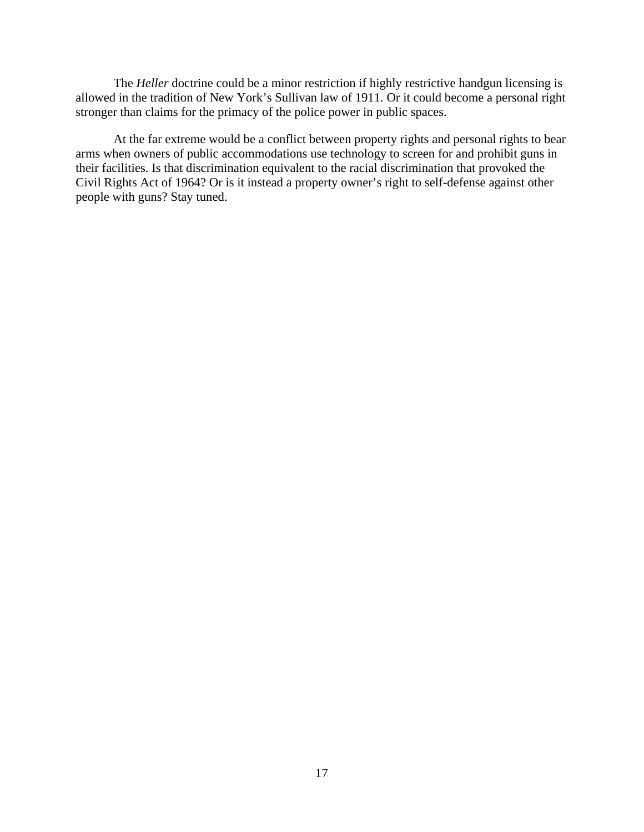The *Heller* doctrine could be a minor restriction if highly restrictive handgun licensing is allowed in the tradition of New York's Sullivan law of 1911. Or it could become a personal right stronger than claims for the primacy of the police power in public spaces.

 At the far extreme would be a conflict between property rights and personal rights to bear arms when owners of public accommodations use technology to screen for and prohibit guns in their facilities. Is that discrimination equivalent to the racial discrimination that provoked the Civil Rights Act of 1964? Or is it instead a property owner's right to self-defense against other people with guns? Stay tuned.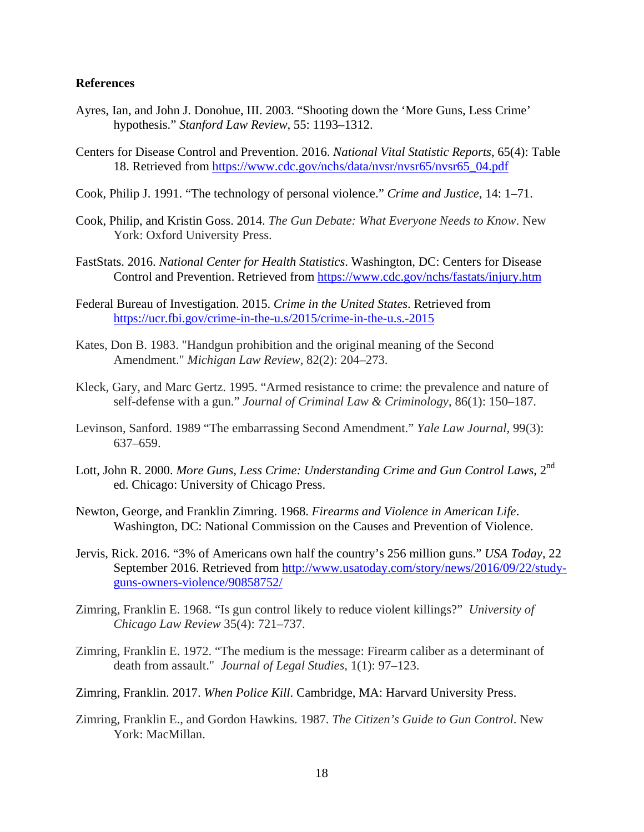# **References**

- Ayres, Ian, and John J. Donohue, III. 2003. "Shooting down the 'More Guns, Less Crime' hypothesis." *Stanford Law Review*, 55: 1193–1312.
- Centers for Disease Control and Prevention. 2016. *National Vital Statistic Reports*, 65(4): Table 18. Retrieved from https://www.cdc.gov/nchs/data/nvsr/nvsr65/nvsr65\_04.pdf
- Cook, Philip J. 1991. "The technology of personal violence." *Crime and Justice*, 14: 1–71.
- Cook, Philip, and Kristin Goss. 2014. *The Gun Debate: What Everyone Needs to Know*. New York: Oxford University Press.
- FastStats. 2016. *National Center for Health Statistics*. Washington, DC: Centers for Disease Control and Prevention. Retrieved from https://www.cdc.gov/nchs/fastats/injury.htm
- Federal Bureau of Investigation. 2015. *Crime in the United States*. Retrieved from https://ucr.fbi.gov/crime-in-the-u.s/2015/crime-in-the-u.s.-2015
- Kates, Don B. 1983. "Handgun prohibition and the original meaning of the Second Amendment." *Michigan Law Review*, 82(2): 204–273.
- Kleck, Gary, and Marc Gertz. 1995. "Armed resistance to crime: the prevalence and nature of self-defense with a gun." *Journal of Criminal Law & Criminology*, 86(1): 150–187.
- Levinson, Sanford. 1989 "The embarrassing Second Amendment." *Yale Law Journal*, 99(3): 637–659.
- Lott, John R. 2000. More Guns, Less Crime: Understanding Crime and Gun Control Laws, 2<sup>nd</sup> ed. Chicago: University of Chicago Press.
- Newton, George, and Franklin Zimring. 1968. *Firearms and Violence in American Life*. Washington, DC: National Commission on the Causes and Prevention of Violence.
- Jervis, Rick. 2016. "3% of Americans own half the country's 256 million guns." *USA Today*, 22 September 2016. Retrieved from http://www.usatoday.com/story/news/2016/09/22/studyguns-owners-violence/90858752/
- Zimring, Franklin E. 1968. "Is gun control likely to reduce violent killings?" *University of Chicago Law Review* 35(4): 721–737.
- Zimring, Franklin E. 1972. "The medium is the message: Firearm caliber as a determinant of death from assault." *Journal of Legal Studies*, 1(1): 97–123.
- Zimring, Franklin. 2017. *When Police Kill*. Cambridge, MA: Harvard University Press.
- Zimring, Franklin E., and Gordon Hawkins. 1987. *The Citizen's Guide to Gun Control*. New York: MacMillan.